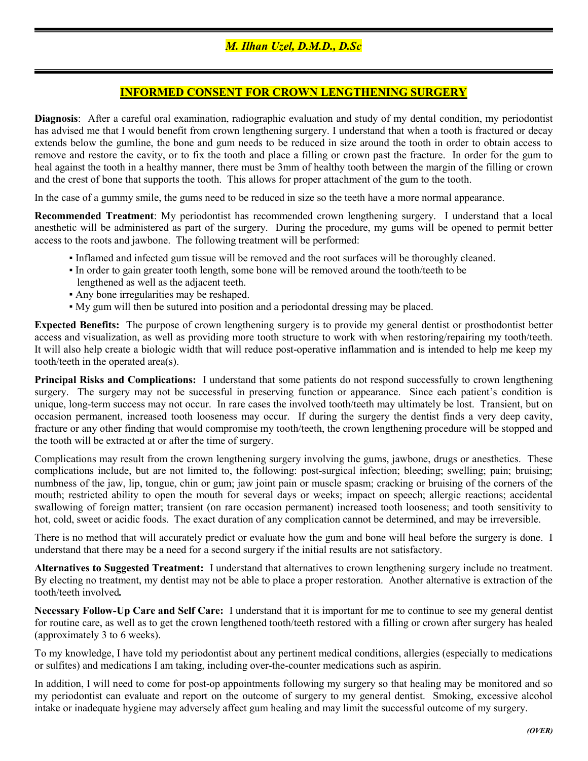## INFORMED CONSENT FOR CROWN LENGTHENING SURGERY

Diagnosis: After a careful oral examination, radiographic evaluation and study of my dental condition, my periodontist has advised me that I would benefit from crown lengthening surgery. I understand that when a tooth is fractured or decay extends below the gumline, the bone and gum needs to be reduced in size around the tooth in order to obtain access to remove and restore the cavity, or to fix the tooth and place a filling or crown past the fracture. In order for the gum to heal against the tooth in a healthy manner, there must be 3mm of healthy tooth between the margin of the filling or crown and the crest of bone that supports the tooth. This allows for proper attachment of the gum to the tooth.

In the case of a gummy smile, the gums need to be reduced in size so the teeth have a more normal appearance.

Recommended Treatment: My periodontist has recommended crown lengthening surgery. I understand that a local anesthetic will be administered as part of the surgery. During the procedure, my gums will be opened to permit better access to the roots and jawbone. The following treatment will be performed:

- Inflamed and infected gum tissue will be removed and the root surfaces will be thoroughly cleaned.
- In order to gain greater tooth length, some bone will be removed around the tooth/teeth to be lengthened as well as the adjacent teeth.
- Any bone irregularities may be reshaped.
- My gum will then be sutured into position and a periodontal dressing may be placed.

Expected Benefits: The purpose of crown lengthening surgery is to provide my general dentist or prosthodontist better access and visualization, as well as providing more tooth structure to work with when restoring/repairing my tooth/teeth. It will also help create a biologic width that will reduce post-operative inflammation and is intended to help me keep my tooth/teeth in the operated area(s).

Principal Risks and Complications: I understand that some patients do not respond successfully to crown lengthening surgery. The surgery may not be successful in preserving function or appearance. Since each patient's condition is unique, long-term success may not occur. In rare cases the involved tooth/teeth may ultimately be lost. Transient, but on occasion permanent, increased tooth looseness may occur. If during the surgery the dentist finds a very deep cavity, fracture or any other finding that would compromise my tooth/teeth, the crown lengthening procedure will be stopped and the tooth will be extracted at or after the time of surgery.

Complications may result from the crown lengthening surgery involving the gums, jawbone, drugs or anesthetics. These complications include, but are not limited to, the following: post-surgical infection; bleeding; swelling; pain; bruising; numbness of the jaw, lip, tongue, chin or gum; jaw joint pain or muscle spasm; cracking or bruising of the corners of the mouth; restricted ability to open the mouth for several days or weeks; impact on speech; allergic reactions; accidental swallowing of foreign matter; transient (on rare occasion permanent) increased tooth looseness; and tooth sensitivity to hot, cold, sweet or acidic foods. The exact duration of any complication cannot be determined, and may be irreversible.

There is no method that will accurately predict or evaluate how the gum and bone will heal before the surgery is done. I understand that there may be a need for a second surgery if the initial results are not satisfactory.

Alternatives to Suggested Treatment: I understand that alternatives to crown lengthening surgery include no treatment. By electing no treatment, my dentist may not be able to place a proper restoration. Another alternative is extraction of the tooth/teeth involved.

Necessary Follow-Up Care and Self Care: I understand that it is important for me to continue to see my general dentist for routine care, as well as to get the crown lengthened tooth/teeth restored with a filling or crown after surgery has healed (approximately 3 to 6 weeks).

To my knowledge, I have told my periodontist about any pertinent medical conditions, allergies (especially to medications or sulfites) and medications I am taking, including over-the-counter medications such as aspirin.

In addition, I will need to come for post-op appointments following my surgery so that healing may be monitored and so my periodontist can evaluate and report on the outcome of surgery to my general dentist. Smoking, excessive alcohol intake or inadequate hygiene may adversely affect gum healing and may limit the successful outcome of my surgery.